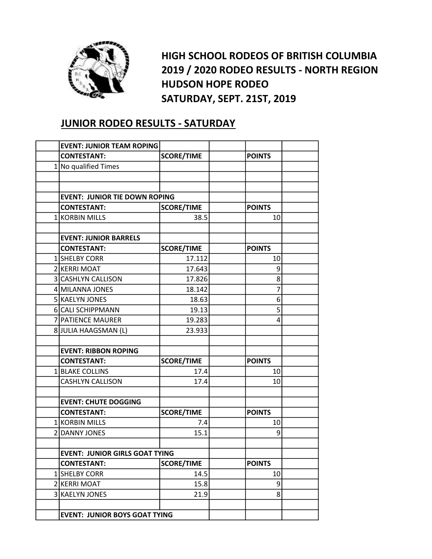

HIGH SCHOOL RODEOS OF BRITISH COLUMBIA 2019 / 2020 RODEO RESULTS - NORTH REGION HUDSON HOPE RODEO SATURDAY, SEPT. 21ST, 2019

## JUNIOR RODEO RESULTS - SATURDAY

| <b>EVENT: JUNIOR TEAM ROPING</b>      |                   |  |               |  |
|---------------------------------------|-------------------|--|---------------|--|
| <b>CONTESTANT:</b>                    | <b>SCORE/TIME</b> |  | <b>POINTS</b> |  |
| 1 No qualified Times                  |                   |  |               |  |
|                                       |                   |  |               |  |
|                                       |                   |  |               |  |
| <b>EVENT: JUNIOR TIE DOWN ROPING</b>  |                   |  |               |  |
| <b>CONTESTANT:</b>                    | <b>SCORE/TIME</b> |  | <b>POINTS</b> |  |
| 1 KORBIN MILLS                        | 38.5              |  | 10            |  |
|                                       |                   |  |               |  |
| <b>EVENT: JUNIOR BARRELS</b>          |                   |  |               |  |
| <b>CONTESTANT:</b>                    | <b>SCORE/TIME</b> |  | <b>POINTS</b> |  |
| 1 SHELBY CORR                         | 17.112            |  | 10            |  |
| 2 KERRI MOAT                          | 17.643            |  | 9             |  |
| 3 CASHLYN CALLISON                    | 17.826            |  | 8             |  |
| 4 MILANNA JONES                       | 18.142            |  | 7             |  |
| 5 KAELYN JONES                        | 18.63             |  | 6             |  |
| 6 CALI SCHIPPMANN                     | 19.13             |  | 5             |  |
| 7 PATIENCE MAURER                     | 19.283            |  | 4             |  |
| 8 JULIA HAAGSMAN (L)                  | 23.933            |  |               |  |
|                                       |                   |  |               |  |
| <b>EVENT: RIBBON ROPING</b>           |                   |  |               |  |
| <b>CONTESTANT:</b>                    | <b>SCORE/TIME</b> |  | <b>POINTS</b> |  |
| 1 BLAKE COLLINS                       | 17.4              |  | 10            |  |
| <b>CASHLYN CALLISON</b>               | 17.4              |  | 10            |  |
|                                       |                   |  |               |  |
| <b>EVENT: CHUTE DOGGING</b>           |                   |  |               |  |
| <b>CONTESTANT:</b>                    | <b>SCORE/TIME</b> |  | <b>POINTS</b> |  |
| 1 KORBIN MILLS                        | 7.4               |  | 10            |  |
| 2 DANNY JONES                         | 15.1              |  | 9             |  |
|                                       |                   |  |               |  |
| <b>EVENT: JUNIOR GIRLS GOAT TYING</b> |                   |  |               |  |
| <b>CONTESTANT:</b>                    | <b>SCORE/TIME</b> |  | <b>POINTS</b> |  |
| 1 SHELBY CORR                         | 14.5              |  | 10            |  |
| 2 KERRI MOAT                          | 15.8              |  | 9             |  |
| 3 KAELYN JONES                        | 21.9              |  | 8             |  |
|                                       |                   |  |               |  |
| <b>EVENT: JUNIOR BOYS GOAT TYING</b>  |                   |  |               |  |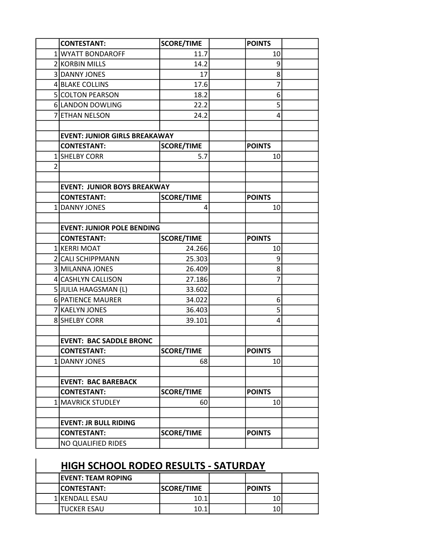|                | <b>CONTESTANT:</b>                   | <b>SCORE/TIME</b> | <b>POINTS</b> |  |
|----------------|--------------------------------------|-------------------|---------------|--|
|                | 1 WYATT BONDAROFF                    | 11.7              | 10            |  |
|                | 2 KORBIN MILLS                       | 14.2              | 9             |  |
|                | 3 DANNY JONES                        | 17                | 8             |  |
|                | 4 BLAKE COLLINS                      | 17.6              | 7             |  |
|                | 5 COLTON PEARSON                     | 18.2              | 6             |  |
|                | 6 LANDON DOWLING                     | 22.2              | 5             |  |
|                | 7 ETHAN NELSON                       | 24.2              | 4             |  |
|                |                                      |                   |               |  |
|                | <b>EVENT: JUNIOR GIRLS BREAKAWAY</b> |                   |               |  |
|                | <b>CONTESTANT:</b>                   | <b>SCORE/TIME</b> | <b>POINTS</b> |  |
|                | 1 SHELBY CORR                        | 5.7               | 10            |  |
| $\overline{2}$ |                                      |                   |               |  |
|                |                                      |                   |               |  |
|                | <b>EVENT: JUNIOR BOYS BREAKWAY</b>   |                   |               |  |
|                | <b>CONTESTANT:</b>                   | <b>SCORE/TIME</b> | <b>POINTS</b> |  |
|                | 1 DANNY JONES                        | 4                 | 10            |  |
|                |                                      |                   |               |  |
|                | <b>EVENT: JUNIOR POLE BENDING</b>    |                   |               |  |
|                | <b>CONTESTANT:</b>                   | <b>SCORE/TIME</b> | <b>POINTS</b> |  |
|                | 1 KERRI MOAT                         | 24.266            | 10            |  |
|                | 2 CALI SCHIPPMANN                    | 25.303            | 9             |  |
|                | 3 MILANNA JONES                      | 26.409            | 8             |  |
|                | 4 CASHLYN CALLISON                   | 27.186            | 7             |  |
|                | 5 JULIA HAAGSMAN (L)                 | 33.602            |               |  |
|                | 6 PATIENCE MAURER                    | 34.022            | 6             |  |
|                | 7 KAELYN JONES                       | 36.403            | 5             |  |
|                | 8 SHELBY CORR                        | 39.101            | 4             |  |
|                |                                      |                   |               |  |
|                | <b>EVENT: BAC SADDLE BRONC</b>       |                   |               |  |
|                | <b>CONTESTANT:</b>                   | <b>SCORE/TIME</b> | <b>POINTS</b> |  |
|                | 1 DANNY JONES                        | 68                | 10            |  |
|                |                                      |                   |               |  |
|                | <b>EVENT: BAC BAREBACK</b>           |                   |               |  |
|                | <b>CONTESTANT:</b>                   | <b>SCORE/TIME</b> | <b>POINTS</b> |  |
|                | 1 MAVRICK STUDLEY                    | 60                | 10            |  |
|                |                                      |                   |               |  |
|                | <b>EVENT: JR BULL RIDING</b>         |                   |               |  |
|                | <b>CONTESTANT:</b>                   | <b>SCORE/TIME</b> | <b>POINTS</b> |  |
|                | NO QUALIFIED RIDES                   |                   |               |  |

## HIGH SCHOOL RODEO RESULTS - SATURDAY

| <b>IEVENT: TEAM ROPING</b> |                   |                |  |
|----------------------------|-------------------|----------------|--|
| <b>ICONTESTANT:</b>        | <b>SCORE/TIME</b> | <b>IPOINTS</b> |  |
| <b>1 IKENDALL ESAU</b>     | 10.1              |                |  |
| <b>ITUCKER ESAU</b>        | 10.1              |                |  |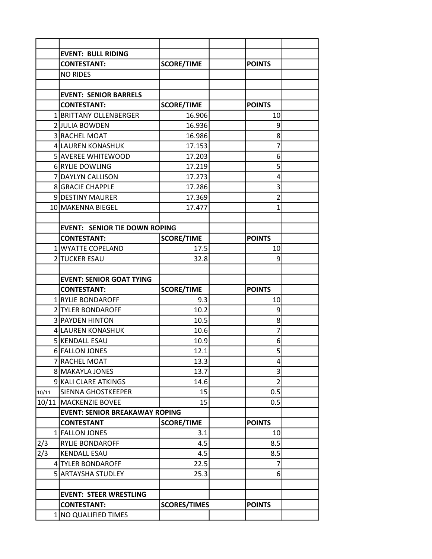|       | <b>EVENT: BULL RIDING</b>                  |                     |                |  |
|-------|--------------------------------------------|---------------------|----------------|--|
|       | <b>CONTESTANT:</b>                         | <b>SCORE/TIME</b>   | <b>POINTS</b>  |  |
|       | <b>NO RIDES</b>                            |                     |                |  |
|       |                                            |                     |                |  |
|       | <b>EVENT: SENIOR BARRELS</b>               |                     |                |  |
|       | <b>CONTESTANT:</b>                         | <b>SCORE/TIME</b>   | <b>POINTS</b>  |  |
|       | 1 BRITTANY OLLENBERGER                     | 16.906              | 10             |  |
|       | 2 JULIA BOWDEN                             | 16.936              | 9              |  |
|       | 3 RACHEL MOAT                              | 16.986              | 8              |  |
|       | 4 LAUREN KONASHUK                          | 17.153              | 7              |  |
|       | 5 AVEREE WHITEWOOD                         | 17.203              | 6              |  |
|       | 6 RYLIE DOWLING                            | 17.219              | 5              |  |
|       | 7 DAYLYN CALLISON                          | 17.273              | 4              |  |
|       | <b>8 GRACIE CHAPPLE</b>                    | 17.286              | 3              |  |
|       | 9 DESTINY MAURER                           | 17.369              | $\overline{2}$ |  |
|       | 10 MAKENNA BIEGEL                          | 17.477              | 1              |  |
|       |                                            |                     |                |  |
|       | <b>EVENT: SENIOR TIE DOWN ROPING</b>       |                     |                |  |
|       | <b>CONTESTANT:</b>                         | <b>SCORE/TIME</b>   | <b>POINTS</b>  |  |
|       | 1 WYATTE COPELAND                          | 17.5                | 10             |  |
|       | 2 TUCKER ESAU                              | 32.8                | 9              |  |
|       |                                            |                     |                |  |
|       | <b>EVENT: SENIOR GOAT TYING</b>            |                     |                |  |
|       | <b>CONTESTANT:</b>                         | <b>SCORE/TIME</b>   | <b>POINTS</b>  |  |
|       | 1 RYLIE BONDAROFF                          | 9.3                 | 10             |  |
|       | 2 TYLER BONDAROFF                          | 10.2                | 9              |  |
|       | 3 PAYDEN HINTON                            | 10.5                | 8              |  |
|       | 4 LAUREN KONASHUK                          |                     |                |  |
|       |                                            | 10.6                | 7              |  |
|       | 5 KENDALL ESAU                             | 10.9                | 6              |  |
|       | 6 FALLON JONES                             | 12.1                | 5              |  |
| 7     | <b>RACHEL MOAT</b>                         | 13.3                | 4              |  |
|       | 8 MAKAYLA JONES                            | 13.7                | 3              |  |
|       | 9 KALI CLARE ATKINGS                       | 14.6                | $\overline{2}$ |  |
| 10/11 | <b>SIENNA GHOSTKEEPER</b>                  | 15                  | 0.5            |  |
|       | 10/11   MACKENZIE BOVEE                    | 15                  | 0.5            |  |
|       | <b>EVENT: SENIOR BREAKAWAY ROPING</b>      |                     |                |  |
|       | <b>CONTESTANT</b>                          | <b>SCORE/TIME</b>   | <b>POINTS</b>  |  |
|       | 1 FALLON JONES                             | 3.1                 | 10             |  |
| 2/3   | RYLIE BONDAROFF                            | 4.5                 | 8.5            |  |
| 2/3   | <b>KENDALL ESAU</b>                        | 4.5                 | 8.5            |  |
|       | 4 TYLER BONDAROFF                          | 22.5                | 7              |  |
|       | 5 ARTAYSHA STUDLEY                         | 25.3                | 6              |  |
|       |                                            |                     |                |  |
|       | <b>EVENT: STEER WRESTLING</b>              |                     |                |  |
|       | <b>CONTESTANT:</b><br>1 NO QUALIFIED TIMES | <b>SCORES/TIMES</b> | <b>POINTS</b>  |  |